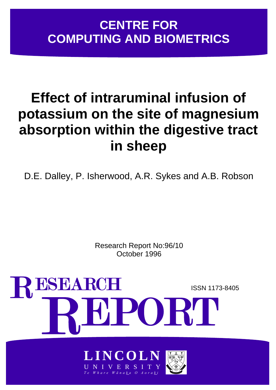# **CENTRE FOR COMPUTING AND BIOMETRICS**

# **Effect of intraruminal infusion of potassium on the site of magnesium absorption within the digestive tract in sheep**

D.E. Dalley, P. Isherwood, A.R. Sykes and A.B. Robson

Research Report No:96/10 October 1996



NIVERS *Te Whare W ā nak a O Aorak i*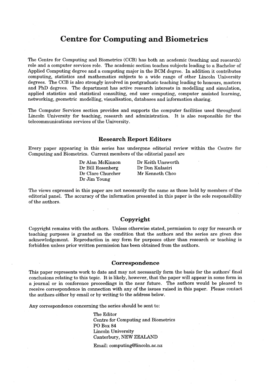# Centre for Computing and Biometrics

The Centre for Computing and Biometrics (CCB) has both an academic (teaching and research) role and a computer services role. The academic section teaches subjects leading to a Bachelor of Applied Computing degree and a computing major in the BCM degree. In addition it contributes computing, statistics and mathematics subjects to a wide range of other Lincoln University degrees. The CCB is also strongly involved in postgraduate teaching leading to honours, masters and PhD degrees. The department has active research interests in modelling and simulation, applied statistics and statistical consulting, end user computing, computer assisted learning, networking, geometric modelling, visualisation, databases and information sharing.

The Computer Services section provides and supports the computer facilities used throughout Lincoln University for teaching, research and administration. It is also responsible for the telecommunications services of the University.

#### Research Report Editors

Every paper appearing in this series has undergone editorial review within the Centre for Computing and Biometrics. Current members of the editorial panel are

> Dr Alan McKinnon Dr Bill Rosenberg Dr Clare Churcher Dr Jim Young

Dr Keith Unsworth Dr Don Kulasiri Mr Kenneth Choo

The views expressed in this paper are not necessarily the same as those held by members of the editorial panel. The accuracy of the information presented in this paper is the sole responsibility of the authors.

# Copyright

Copyright remains with the authors. Unless otherwise stated, permission to copy for research or teaching purposes is granted on the condition that the authors and the series are given due acknowledgement. Reproduction in any form for purposes other than research or teaching is forbidden unless prior written permission has been obtained from the authors.

#### Correspondence

This paper represents work to date and may not necessarily form the basis for the authors' final conclusions relating to this topic. It is likely, however, that the paper will appear in some form in a journal or in conference proceedings in the near future. The authors would be pleased to receive correspondence in connection with any of the issues raised in this paper. Please contact the authors either by email or by writing to the address below.

Any correspondence concerning the series should be sent to:

The Editor Centre for Computing and Biometrics PO Box 84 Lincoln University Canterbury, NEW ZEALAND

Email: computing@lincoln.ac.nz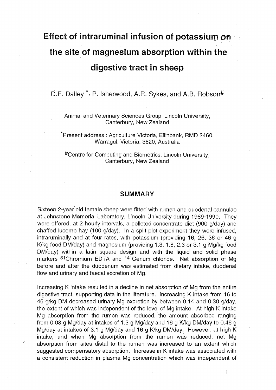# **Effect of intraruminal infusion of potassium on the site of magnesium absorption within the digestive tract in sheep**

D.E. Dalley<sup>\*</sup>, P. Isherwood, A.R. Sykes, and A.B. Robson<sup>#</sup>

Animal and Veterinary Sciences Group, Lincoln University, Canterbury, New Zealand

\*Present address: Agriculture Victoria, Ellinbank, RMO 2460, Warragul, Victoria, 3820, Australia

#Centre for Computing and Biometrics, Lincoln University, Canterbury, New Zealand

# **SUMMARY**

Sixteen 2-year old female sheep were fitted with rumen and duodenal cannulae at Johnstone Memorial Laboratory, Lincoln University during 1989-1990. They were offered, at 2 hourly intervals, a pelleted concentrate diet (900 g/day) and chaffed lucerne hay (100 g/day). In a split plot experiment they were infused, intraruminally and at four rates, with potassium (providing 16, 26, 36 or 46 g Klkg food OM/day) and magnesium (providing 1.3, 1.8, 2.3 or 3.1 g Mg/kg food OM/day) within a latin square design and with the liquid and solid phase markers <sup>51</sup> Chromium EDTA and <sup>141</sup> Cerium chloride. Net absorption of Mg before and after the duodenum was estimated from dietary intake, duodenal flow and urinary and faecal excretion of Mg.

Increasing K intake resulted in a decline in net absorption of Mg from the entire digestive tract, supporting data in the literature. Increasing K intake from 16 to 46 g/kg DM decreased urinary Mg excretion by between 0.14 and 0.30 g/day, the extent of which was independent of the level of Mg intake. At high K intake Mg absorption from the rumen was reduced, the amount absorbed ranging from 0.08 g Mg/day at intakes of 1.3 g Mg/day and 16 g K/kg DM/day to 0.46 g Mg/day at intakes of 3.1 g Mg/day and 16 g K/kg DM/day. However, at high K intake, and when Mg absorption from the rumen was reduced, net Mg absorption from sites distal to the rumen was increased to an extent which suggested compensatory absorption. Increase in K intake was associated with a consistent reduction in plasma Mg concentration which was independent of

.'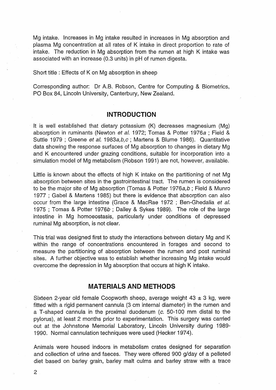Mg intake. Increases in Mg intake resulted in increases in Mg absorption and plasma Mg concentration at all rates of K intake in direct proportion to rate of intake. The reduction in Mg absorption from the rumen at high K intake was associated with an increase (0.3 units) in pH of rumen digesta.

Short title: Effects of K on Mg absorption in sheep

Corresponding author: Dr A.B. Robson, Centre for Computing & Biometrics, PO Box 84, Lincoln University, Canterbury, New Zealand.

# **INTRODUCTION**

It is well established that dietary potassium (K) decreases magnesium (Mg) absorption in ruminants (Newton et al. 1972; Tomas & Potter 1976a ; Field & Suttle 1979 ; Greene et al. 1983a,b,c ; Martens & Blume 1986). Quantitative data showing the response surfaces of Mg absorption to changes in dietary Mg and K encountered under grazing conditions, suitable for incorporation into a simulation model of Mg metabolism (Robson 1991) are not, however, available.

Little is known about the effects of high K intake on the partitioning of net Mg absorption between sites in the gastrointestinal tract. The rumen is considered to be the major site of Mg absorption (Tomas & Potter 1976a, b; Field & Munro 1977 ; Gabel & Martens 1985) but there is evidence that absorption can also occur from the large intestine (Grace & MacRae 1972 ; Ben-Ghedalia et al. 1975 ; Tomas & Potter 1976b ; Dalley & Sykes 1989). The role of the large intestine in Mg homoeostasis, particularly under conditions of depressed ruminal Mg absorption, is not olear.

This trial was designed first to study the interactions between dietary Mg and K within the range of concentrations encountered in forages and second to measure the partitioning of absorption between the rumen and post ruminal sites. A further objective was to establish whether increasing Mg intake would overcome the depression in Mg absorption that occurs at high K intake.

# **MATERIALS AND METHODS**

Sixteen 2-year old female Coopworth sheep, average weight  $43 \pm 3$  kg, were fitted with a rigid permanent cannula (3 cm internal diameter) in the rumen and a T-shaped cannula in the proximal duodenum (c. 50-100 mm distal to the pylorus), at least 2 months prior to experimentation. This surgery was carried out at the Johnstone Memorial Laboratory, Lincoln University during 1989- 1990. Normal cannulation techniques were used (Hecker 1974).

Animals were housed indoors in metabolism crates designed for separation and collection of urine and faeces. They were offered 900 g/day of a pelleted diet based on barley grain, barley malt culms and barley straw with a trace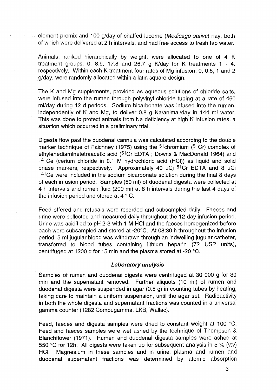element premix and 100 g/day of chaffed lucerne (Medicago sativa) hay, both of which were delivered at 2 h intervals, and had free access to fresh tap water.

Animals, ranked hierarchically by weight, were allocated to one of 4 K treatment groups, 0, 8.9, 17.8 and 26.7 g K/day for K treatments 1 - 4, respectively. Within each K treatment four rates of Mg infusion, 0, 0.5, 1 and 2 . g/day, were randomly allocated within a latin square design.

The K and Mg supplements, provided as aqueous solutions of chloride salts, were infused into the rumen through polyvinyl chloride tubing at a rate of 460 ml/day during 12 d periods. Sodium bicarbonate was infused into the rumen, independently of K and Mg, to deliver 0.8 g Na/animal/day in 144 ml water. This was done to protect animals from Na deficiency at high K infusion rates, a situation which occurred in a preliminary trial.

Digesta flow past the duodenal cannula was calculated according to the double marker technique of Faichney (1975) using the  $51$ chromium ( $51Cr$ ) complex of ethylenediaminetetraacetic acid (51Cr EDTA ; Downs & MacDonald 1964) and 141Ce (cerium chloride in 0.1 M hydrochloric acid (HCI)) as liquid and solid phase markers, respectively. Approximately 40  $\mu$ Ci <sup>51</sup>Cr EDTA and 8  $\mu$ Ci 141Ce were included in the sodium bicarbonate solution during the final 8 days of each infusion period. Samples (50 ml) of duodenal digesta were collected at 4 h intervals and rumen fluid (200 ml) at 8 h intervals during the last 4 days of the infusion period and stored at 4 ° C.

Feed offered and refusals were recorded and subsampled daily. Faeces and urine were collected and measured daily throughout the 12 day infusion period. Urine was acidified to pH 2-3 with 1 M HCI and the faeces homogenized before each were subsampled and stored at -20°C. At 08:30 h throughout the infusion period, 5 ml jugular blood was withdrawn through an indwelling jugular catheter, transferred to blood tubes containing lithium heparin (72 USP units), centrifuged at 1200 g for 15 min and the plasma stored at -20°C.

#### **Laboratory analysis**

Samples of rumen and duodenal digesta were centrifuged at 30 000 g for 30 min and the supernatant removed. Further aliquots (10 ml) of rumen and duodenal digesta were suspended in agar (0.5 g) in counting tubes by heating, taking care to maintain a uniform suspension, until the agar set. Radioactivity in both the whole digesta and supernatant fractions was counted in a universal gamma counter (1282 Compugamma, LKB, Wallac).

Feed, faeces and digesta samples were dried to constant weight at 100°C. Feed and faeces samples were wet ashed by the technique of Thompson & Blanchflower (1971). Rumen and duodenal digesta samples were ashed at 550°C for 12h. All digests were taken up for subsequent analysis in 5 % (v:v) HCI. Magnesium in these samples and in urine, plasma and rumen and duodenal supernatant fractions was determined by atomic absorption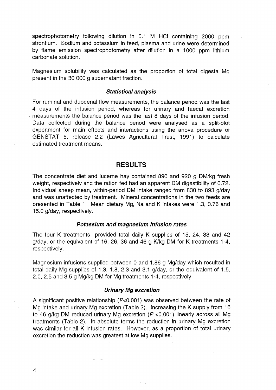spectrophotometry following dilution in 0.1 M HCI containing 2000 ppm strontium. Sodium and potassium in feed, plasma and urine were determined by flame emission spectrophotometry after dilution in a 1000 ppm lithium carbonate solution.

Magnesium solubility was calculated as the proportion of total digesta Mg present in the 30 000 g supernatant fraction.

#### **Statistical analysis**

For ruminal and duodenal flow measurements, the balance period was the last 4 days of the infusion period, whereas for urinary and faecal excretion . measurements the balance period was the last 8 days of the infusion period. Data collected during the balance period were analysed as a split-plot experiment for main effects and interactions using the anova procedure of GENSTAT 5, release 2.2 (Lawes Agricultural Trust, 1991) to calculate estimated treatment means.

# **RESULTS**

The concentrate diet and lucerne hay contained 890 and 920 g DM/kg fresh weight, respectively and the ration fed had an apparent OM digestibility of 0.72. Individual sheep mean, within-period OM intake ranged from 830 to 893 g/day and was unaffected by treatment. Mineral concentrations in the two feeds are presented in Table 1. Mean dietary Mg, Na and K intakes were 1.3, 0.76 and 15.0 g/day, respectively.

## **Potassium and magnesium infusion rates**

The four K treatments provided total daily K supplies of 15, 24, 33 and 42  $g$ /day, or the equivalent of 16, 26, 36 and 46  $g$  K/kg DM for K treatments 1-4, respectively.

Magnesium infusions supplied between 0 and 1.86 g Mg/day which resulted in total daily Mg supplies of 1.3, 1.8, 2.3 and 3.1 g/day, or the equivalent of 1.5, 2.0, 2.5 and 3.5 9 Mg/kg OM for Mg treatments 1-4, respectively.

#### **Urinary Mg excretion**

A significant positive relationship (P<0.001) was observed between the rate of Mg intake and urinary Mg excretion (Table 2). Increasing the K supply from 16 to 46 g/kg DM reduced urinary Mg excretion ( $P$  <0.001) linearly across all Mg treatments (Table 2). In absolute terms the reduction in urinary Mg excretion was similar for all K infusion rates. However, as a proportion of total urinary excretion the reduction was greatest at low Mg supplies.

 $\sim$   $\sim$ 

.... . . "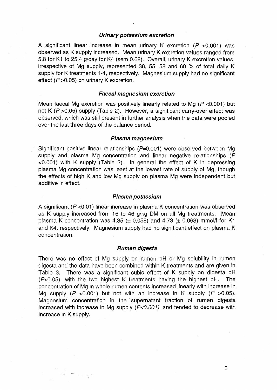#### **Urinary potassium excretion**

A significant linear increase in mean urinary K excretion ( $P$  <0.001) was observed as K supply increased. Mean urinary K excretion values ranged from 5.8 for K1 to 25.4 g/day for K4 (sem 0.68). Overall, urinary K excretion values, irrespective of Mg supply, represented 38, 55, 58 and 60 % of total daily K supply for K treatments 1-4, respectively. Magnesium supply had no significant effect  $(P > 0.05)$  on urinary K excretion.

#### **Faecal magnesium excretion**

Mean faecal Mg excretion was positively linearly related to Mg ( $P$  <0.001) but not K ( $P > 0.05$ ) supply (Table 2). However, a significant carry-over effect was observed, which was still present in further analysis when the data were pooled over the last three days of the balance period.

#### **Plasma magnesium**

Significant positive linear relationships ( $P=0.001$ ) were observed between Mg supply and plasma Mg concentration and linear negative relationships (P)  $\leq$  0.001) with K supply (Table 2). In general the effect of K in depressing plasma Mg concentration was least at the lowest rate of supply of Mg, though the effects of high K and low Mg supply on plasma Mg were independent but additive in effect.

#### **Plasma potassium**

A significant ( $P$  <0.01) linear increase in plasma K concentration was observed as K supply increased from 16 to 46 g/kg DM on all Mg treatments. Mean plasma K concentration was 4.35  $(\pm 0.058)$  and 4.73  $(\pm 0.063)$  mmol/l for K1 and K4, respectively. Magnesium supply had no significant effect on plasma K concentration.

#### **Rumen digesta**

. There was no effect of Mg supply on rumen pH or Mg solubility in rumen digesta and the data have been combined within K treatments and are given in Table 3. There was a significant cubic effect of K supply on digesta pH  $(P<0.05)$ , with the two highest K treatments having the highest pH. The concentration of Mg in whole rumen contents increased linearly with increase in Mg supply  $(P \le 0.001)$  but not with an increase in K supply  $(P \ge 0.05)$ . Magnesium concentration in the· supernatant fraction of rumen digesta increased with increase in Mg supply  $(P<0.001)$ , and tended to decrease with increase in K supply.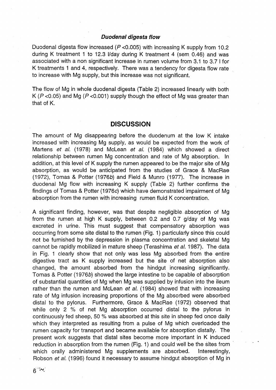## **Duodenal digesta flow**

Duodenal digesta flow increased ( $P$  <0.005) with increasing K supply from 10.2 during K treatment 1 to 12.3 I/day during K treatment 4 (sem 0.46) and was associated with a non significant increase in rumen volume from 3.1 to 3.7 I for K treatments 1 and 4, respectively. There was a tendency for digesta flow rate to increase with Mg supply, but this increase was not significant.

The flow of Mg in whole duodenal digesta (Table 2) increased linearly with both K ( $P$  <0.05) and Mg ( $P$  <0.001) supply though the effect of Mg was greater than that of K.

# **DISCUSSION**

The amount of Mg disappearing before the duodenum at the low K intake increased with increasing Mg supply, as would be expected from the work of Martens et al. (1978) and McLean et al. (1984) which showed a direct relationship between rumen Mg concentration and rate of Mg absorption. In addition, at this level of K supply the rumen appeared to be the major site of Mg absorption, as would be anticipated from the studies of Grace & MacRae (1972), Tomas & Potter (1976b) and Field & Munro (1977). The increase in duodenal Mg flow with increasing K supply (Table 2) further confirms the findings of Tomas & Potter (1976c) which have demonstrated impairment of Mg absorption from the rumen with increasing rumen fluid K concentration.

A significant finding, however, was that despite negligible. absorption of Mg from the rumen at high K supply, between 0.2 and 0.7 g/day of Mg was excreted in urine. This must suggest that compensatory absorption was occurring from some site distal to the rumen (Fig. 1) particularly since this could not be furnished by the depression in plasma concentration and skeletal Mg cannot be rapidly mobilized in mature sheep (Terashima et al. 1987). The data in Fig. 1 clearly show that not only was less Mg absorbed from the entire digestive tract as K supply increased but the site of net absorption also changed, the amount absorbed from the hindgut increasing significantly. Tomas & Potter (1976b) showed the large intestine to be capable of absorption of substantial quantities of Mg when Mg was supplied by infusion into the ileum rather than the rumen and McLean et al. (1984) showed that with increasing rate of Mg infusion increasing proportions of the Mg absorbed were absorbed distal to the pylorus. Furthermore, Grace & MacRae (1972) observed that while only 2 % of net Mg absorption occurred distal to the pylorus in continuously fed sheep, 50 % was absorbed at this site in sheep fed once daily which they interpreted as resulting from a pulse of Mg which overloaded the rumen capacity for transport and became available for absorption distally. The present work suggests that distal sites become more important in K induced reduction in absorption from the rumen (Fig. 1) and could well be the sites from which orally administered Mg supplements are absorbed. Interestingly, Robson et al. (1996) found it necessary to assume hindgut absorption of Mg in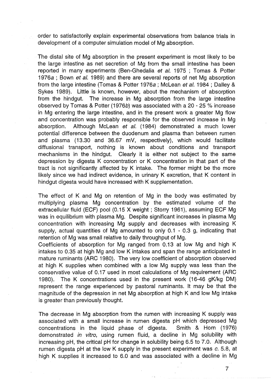order to satisfactorily explain experimental observations from balance trials in development of a computer simulation model of Mg absorption.

The distal site of Mg absorption in the present experiment is most likely to be the large intestine as net secretion of Mg from the small intestine has been reported in many experiments (Ben-Ghedalia et al. 1975 ; Tomas & Potter 1976a ; Bown et al. 1989) and there are several reports of net Mg absorption from the large intestine (Tomas & Potter 1976a ; McLean et al. 1984 ; Dalley & Sykes 1989). Little is known, however, about the mechanism of absorption from the hindgut. The increase in Mg absorption from the large intestine observed by Tomas & Potter (1976b) was associated with a 20 - 25 % increase in Mg entering the large intestine, and in the present work a greater Mg flow and concentration was probably responsible for the observed increase in Mg absorption. Although McLean et al. (1984) demonstrated a much lower potential difference between the duodenum and plasma than between rumen and plasma (13.30 and 36.67 mV, respectively), which would facilitate diffusional transport, nothing is known about conditions and transport mechanisms in the hindgut. Clearly it is either not subject to the same depression by digesta K concentration or K concentration in that part of the tract is not significantly affected by K intake. The former might be the more likely since we had indirect evidence, in urinary K excretion, that K content in hindgut digesta would have increased with K supplementation.

The effect of K and Mg on retention of Mg in the body was estimated by multiplying plasma Mg concentration by the estimated volume of the extracellular fluid (ECF) pool (0.15 X weight; Storry 1961), assuming ECF Mg was in equilibrium with plasma Mg. Despite significant increases in plasma Mg concentration with increasing Mg supply and decreases with increasing K supply, actual quantities of Mg amounted to only 0.1 - 0.3 g, indicating that retention of Mg was small relative to daily throughput of Mg.

Coefficients of absorption for Mg ranged from 0.13 at low Mg and high K intakes to 0.35 at high Mg and low K intakes and span the range anticipated in mature ruminants (ARC 1980). The very low coefficient of absorption observed at high K supplies when combined with a low Mg supply was less than the conservative value of 0.17 used in most calculations of Mg requirement (ARC 1980). The K concentrations used in the present work (16-46 gK/kg OM) represent the range experienced by pastoral ruminants. It may be that the magnitude of the depression in net Mg absorption at high K and low Mg intake is greater than previously thought.

The decrease in Mg absorption from the rumen with increasing K supply was associated with a small increase in rumen digesta pH which depressed Mg concentrations in the liquid phase of digesta. Smith & Horn (1976) demonstrated in vitro, using rumen fluid, a decline in Mg solubility with increasing pH, the critical pH for change in solubility being 6.5 to 7.0. Although rumen digesta pH at the low K supply in the present experiment was  $c$ . 5.8, at high K supplies it increased to 6.0 and was associated with a decline in Mg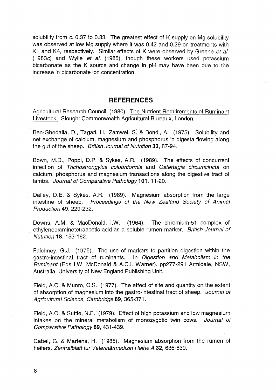solubility from *c.* 0.37 to 0.33. The greatest effect of K supply on Mg solubility was observed at low Mg supply where it was 0.42 and 0.29 on treatments with K1 and K4, respectively. Similar effects of K were observed by Greene et al. (1983c) and Wylie et al. (1985), though these workers used potassium bicarbonate as the K source and change in pH may have been due to the increase in bicarbonate ion concentration.

# **REFERENCES**

Agricultural Research Council (1980). The Nutrient Requirements of Ruminant Livestock. Slough: Commonwealth Agricultural Bureaux, London.

Ben-Ghedalia, D., Tagari, H., Zamwel, S. & Bondi, A. (1975). Solubility and net exchange of calcium, magnesium and phosphorus in digesta flowing along the gut of the sheep. British Journal of Nutrition 33, 87-94.

Bown, M.D., Poppi, D.P. & Sykes, A.R. (1989). The effects of concurrent infection of Trichostrongylus colubriformis and Ostertagia circumcincta on calcium, phosphorus and magnesium transactions along the digestive tract of lambs. Journal of Comparative Pathology **101,** 11-20.

Dalley, D.E. & Sykes, A.R. (1989). Magnesium absorption from the large intestine of sheep. Proceedings of the New Zealand Society of Animal Production 49, 229-232.

Downs, AM. & MacDonald, LW. (1964). The chromium-51 complex of ethylenediaminetetraacetic acid as a soluble rumen marker. British Journal of Nutrition 18,153-162.

Faichney, G.J. (1975). The use of markers to partition digestion within the gastro-intestinal tract of ruminants. In Digestion and Metabolism in the Ruminant (Eds I.W. McDonald & A.C.I. Warner). pp277-291 Armidale, NSW, Australia: University of New England Publishing Unit.

Field, AC. & Munro, C.S. (1977). The effect of site and quantity on the extent of absorption of magnesium into the gastro-intestinal tract of sheep. Journal of Agricultural Science, Cambridge 89, 365-371.

Field, A.C. & Suttle, N.F. (1979). Effect of high potassium and low magnesium intakes on the mineral metabolism of monozygotic twin cows. Journal of Comparative Pathology 89, 431-439.

Gabel, G. & Martens, H. (1985). Magnesium absorption from the rumen of heifers. Zentralblatt fur Veterinärmedizin Reihe A 32, 636-639.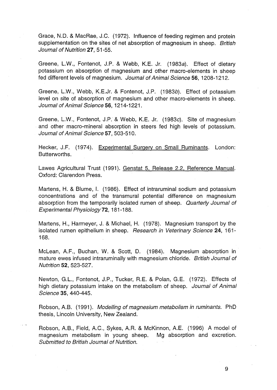Grace, N.D. & MacRae, J.C. (1972). Influence of feeding regimen and protein supplementation on the sites of net absorption of magnesium in sheep. British Journal of Nutrition 27, 51-55.

Greene, L.W., Fontenot, J.P. & Webb, K.E. Jr. (1983a). Effect of dietary potassium on absorption of magnesium and other macro-elements in sheep fed different levels of magnesium. Journal of Animal Science 56, 1208-1212.

Greene, L.W., Webb, K.E.Jr. & Fontenot, J.P. (1983b). Effect of potassium level on site of absorption of magnesium and other macro-elements in sheep. Journal of Animal Science 56, 1214-1221.

Greene, L.W., Fontenot, J.P. & Webb, K.E. Jr. (1983c). Site of magnesium and other macro-mineral absorption in steers fed high levels of potassium. Journal of Animal Science 57, 503-510.

Hecker, J.F. (1974). Experimental Surgery on Small Ruminants. London: Butterworths.

Lawes Agricultural Trust (1991). Genstat 5, Release 2.2, Reference Manual. Oxford: Clarendon Press.

Martens, H. & Blume, I. (1986). Effect of intraruminal sodium and potassium concentrations and of the transmural potential difference on magnesium absorption from the temporarily isolated rumen of sheep. Quarterly Journal of Experimental Physiology 72, 181-188.

Martens, H., Harmeyer, J. & Michael, H. (1978). Magnesium transport by the isolated rumen epithelium in sheep. Research in Veterinary Science 24, 161-168.

McLean, A.F., Buchan, W. & Scott, D. (1984). Magnesium absorption in mature ewes infused intraruminally with magnesium chloride. British Journal of Nutrition 52, 523-527.

Newton, G.L., Fontenot, J.P., Tucker, R.E. & Polan, G.E. (1972). Effects of high dietary potassium intake on the metabolism of sheep. Journal of Animal Science 35,440-445.

Robson, A.B. (1991). Modelling of magnesium metabolism in ruminants. PhD thesis, Lincoln University, New Zealand.

Robson, A.B., Field, A.C., Sykes, A.R. & McKinnon, A.E. (1996) A model of magnesium metabolism in young sheep. Mg absorption and excretion. Submitted to British Journal of Nutrition.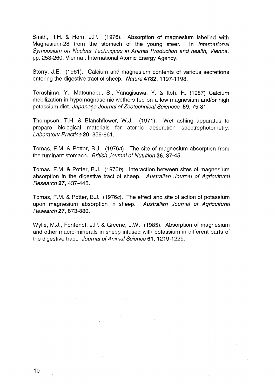Smith, R.H. & Horn, J.P. (1976). Absorption of magnesium labelled with Magnesium-28 from the stomach of the young steer. In International Symposium on Nuclear Techniques in Animal Production and health, Vienna. pp. 253-260. Vienna: International Atomic Energy Agency.

Storry, J.E. (1961). Calcium and magnesium contents of various secretions entering the digestive tract of sheep. Nature 4782, 1197-1198.

Terashima, Y., Matsunobu, S., Yanagisawa, Y. & Itoh. H. (1987) Calcium mobilization in hypomagnasemic wethers fed on a low magnesium and/or high potassium diet. Japanese Journal of Zootechnical Sciences 59, 75-81.

Thompson, T.H. & Blanchflower, W.J. (1971). Wet ashing apparatus to prepare biological materials for atomic absorption spectrophotometry. Laboratory Practice 20, 859-861.

Tomas, F.M. & Potter, B.J. (1976a). The site of magnesium absorption from the ruminant stomach. British Journal of Nutrition 36, 37-45.

Tomas, F.M. & Potter, B.J. (1976b). Interaction between sites of magnesium absorption in the digestive tract of sheep. Australian Journal of Agricultural Research 27,437-446.

Tomas, F.M. & Potter, B.J. (1976c). The effect and site of action of potassium upon magnesium absorption in sheep. Australian Journal of Agricultural Research 27,873-880.

Wylie, M.J., Fontenot, J.P. & Greene, L.W. (1985). Absorption of magnesium and other macro-minerals in sheep infused with potassium in different parts of the digestive tract. Journal of Animal Science **61,** 1219-1229.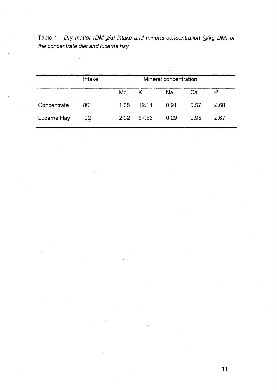|  |  |                                      |  | Table 1. Dry matter (DM-g/d) intake and mineral concentration (g/kg DM) of |  |  |
|--|--|--------------------------------------|--|----------------------------------------------------------------------------|--|--|
|  |  | the concentrate diet and lucerne hay |  |                                                                            |  |  |

|             | Intake |      |            | Mineral concentration |      |      |
|-------------|--------|------|------------|-----------------------|------|------|
|             |        | Mg   | K          | Na                    | Ca   | P    |
| Concentrate | 801    |      | 1.35 12.14 | 0.91                  | 5.57 | 2.68 |
| Lucerne Hay | 92     | 2.32 | 57.56      | 0.29                  | 9.95 | 2.67 |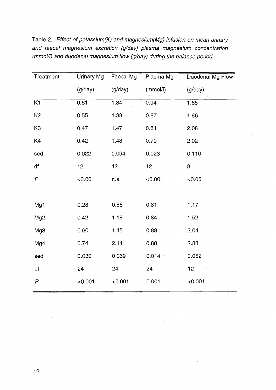| Treatment        | Urinary Mg | Faecal Mg | Plasma Mg | Duodenal Mg Flow |  |
|------------------|------------|-----------|-----------|------------------|--|
|                  | (g/day)    | (g/day)   | (mmol/l)  | (g/day)          |  |
| K <sub>1</sub>   | 0.61       | 1.34      | 0.94      | 1.65             |  |
| K <sub>2</sub>   | 0.55       | 1.38      | 0.87      | 1.86             |  |
| K <sub>3</sub>   | 0.47       | 1.47      | 0.81      | 2.08             |  |
| K4               | 0.42       | 1.43      | 0.79      | 2.02             |  |
| sed              | 0.022      | 0.094     | 0.023     | 0.110            |  |
| df               | 12         | 12        | 12        | 8                |  |
| P                | < 0.001    | n.s.      | < 0.001   | < 0.05           |  |
|                  |            |           |           |                  |  |
| Mg1              | 0.28       | 0.85      | 0.81      | 1.17             |  |
| Mg <sub>2</sub>  | 0.42       | 1.18      | 0.84      | 1.52             |  |
| Mg3              | 0.60       | 1.45      | 0.88      | 2.04             |  |
| Mg4              | 0.74       | 2.14      | 0.88      | 2.88             |  |
| sed              | 0.030      | 0.069     | 0.014     | 0.052            |  |
| df               | 24         | 24        | 24        | 12               |  |
| $\boldsymbol{P}$ | < 0.001    | < 0.001   | 0.001     | < 0.001          |  |

Table 2. Effect of potassium(K) and magnesium(Mg) infusion on mean urinary and faecal magnesium excretion (g/day) plasma magnesium concentration (mmol/I) and duodenal magnesium flow (g/day) during the balance period.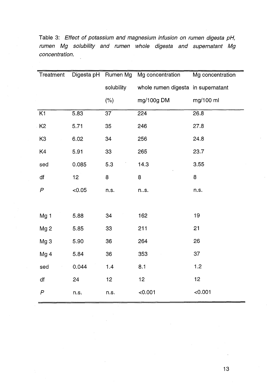| Treatment                 |        | Digesta pH Rumen Mg | Mg concentration                   | Mg concentration |  |
|---------------------------|--------|---------------------|------------------------------------|------------------|--|
|                           |        | solubility          | whole rumen digesta in supernatant |                  |  |
|                           |        | (% )                | mg/100g DM                         | mg/100 ml        |  |
| K1                        | 5.83   | 37                  | 224                                | 26.8             |  |
| K <sub>2</sub>            | 5.71   | 35                  | 246                                | 27.8             |  |
| K <sub>3</sub>            | 6.02   | 34                  | 256                                | 24.8             |  |
| K4                        | 5.91   | 33                  | 265                                | 23.7             |  |
| sed                       | 0.085  | 5.3                 | 14.3                               | 3.55             |  |
| df                        | 12     | 8                   | 8                                  | 8                |  |
| $\boldsymbol{\mathsf{P}}$ | < 0.05 | n.s.                | ns.                                | n.s.             |  |
|                           |        |                     |                                    |                  |  |
| Mg <sub>1</sub>           | 5.88   | 34                  | 162                                | 19               |  |
| Mg <sub>2</sub>           | 5.85   | 33                  | 211                                | 21               |  |
| Mg <sub>3</sub>           | 5.90   | 36                  | 264                                | 26               |  |
| Mg <sub>4</sub>           | 5.84   | 36                  | 353                                | 37               |  |
| sed                       | 0.044  | 1.4                 | 8.1                                | 1.2              |  |
| df                        | 24     | 12                  | 12                                 | 12               |  |
| $\boldsymbol{P}$          | n.s.   | n.s.                | < 0.001                            | < 0.001          |  |

Table 3: Effect of potassium and magnesium infusion on rumen digesta pH, rumen Mg solubility and rumen whole digesta and supernatant Mg concentration.